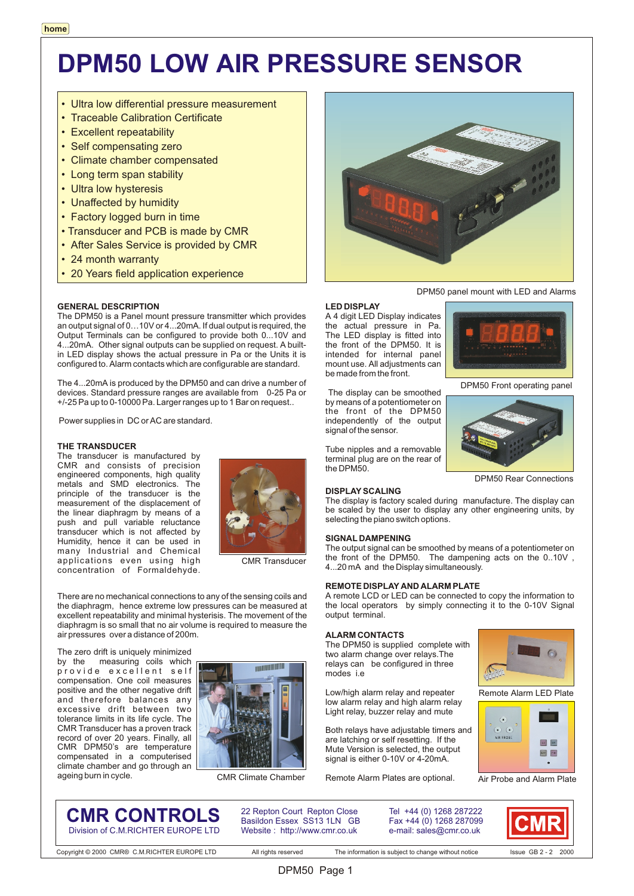## **DPM50 LOW AIR PRESSURE SENSOR**

**LED DISPLAY**

be made from the front.

signal of the sensor.

**DISPLAY SCALING**

**SIGNAL DAMPENING**

output terminal.

modes i.e

**ALARM CONTACTS**

The DPM50 is supplied complete with two alarm change over relays.The relays can be configured in three

Low/high alarm relay and repeater low alarm relay and high alarm relay Light relay, buzzer relay and mute Both relays have adjustable timers and are latching or self resetting. If the Mute Version is selected, the output signal is either 0-10V or 4-20mA. Remote Alarm Plates are optional.

the DPM50.

 The display can be smoothed by means of a potentiometer on the front of the DPM50 independently of the output

selecting the piano switch options.

- Ultra low differential pressure measurement
- Traceable Calibration Certificate
- Excellent repeatability
- Self compensating zero
- Climate chamber compensated
- Long term span stability
- Ultra low hysteresis
- Unaffected by humidity
- Factory logged burn in time
- Transducer and PCB is made by CMR
- After Sales Service is provided by CMR
- 24 month warranty
- 20 Years field application experience

## **GENERAL DESCRIPTION**

The DPM50 is a Panel mount pressure transmitter which provides an output signal of 0…10V or 4...20mA. If dual output is required, the Output Terminals can be configured to provide both 0...10V and 4...20mA. Other signal outputs can be supplied on request. A builtin LED display shows the actual pressure in Pa or the Units it is configured to. Alarm contacts which are configurable are standard.

The 4...20mA is produced by the DPM50 and can drive a number of devices. Standard pressure ranges are available from 0-25 Pa or +/-25 Pa up to 0-10000 Pa. Larger ranges up to 1 Bar on request..

Power supplies in DC or AC are standard.

## **THE TRANSDUCER**

The transducer is manufactured by CMR and consists of precision engineered components, high quality metals and SMD electronics. The principle of the transducer is the measurement of the displacement of the linear diaphragm by means of a push and pull variable reluctance transducer which is not affected by Humidity, hence it can be used in many Industrial and Chemical applications even using high concentration of Formaldehyde.



CMR Transducer

There are no mechanical connections to any of the sensing coils and the diaphragm, hence extreme low pressures can be measured at excellent repeatability and minimal hysterisis. The movement of the diaphragm is so small that no air volume is required to measure the air pressures over a distance of 200m.

The zero drift is uniquely minimized by the measuring coils which provide excellent self compensation. One coil measures positive and the other negative drift and therefore balances any excessive drift between two tolerance limits in its life cycle. The CMR Transducer has a proven track record of over 20 years. Finally, all CMR DPM50's are temperature compensated in a computerised climate chamber and go through an ageing burn in cycle.



CMR Climate Chamber

## **CMR CONTROLS** Division of C.M.RICHTER EUROPE LTD

Basildon Essex SS13 1LN GB Website : http://www.cmr.co.uk

22 Repton Court Repton Close Tel +44 (0) 1268 287222

Fax +44 (0) 1268 287099 e-mail: sales@cmr.co.uk

A remote LCD or LED can be connected to copy the information to the local operators by simply connecting it to the 0-10V Signal





Air Probe and Alarm Plate





DPM50 Front operating panel

Tube nipples and a removable terminal plug are on the rear of

DPM50 Rear Connections

DPM50 Page 1

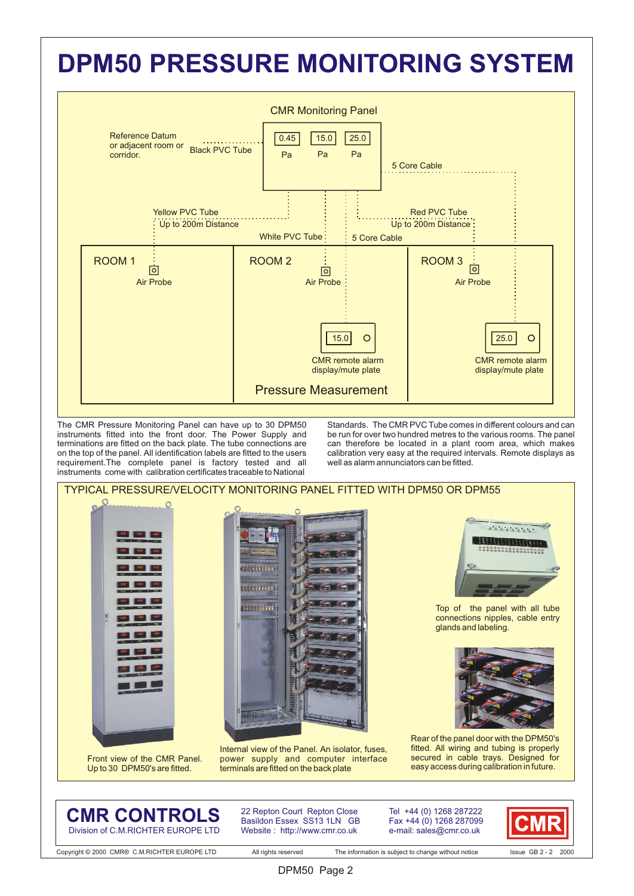## **DPM50 PRESSURE MONITORING SYSTEM**



The CMR Pressure Monitoring Panel can have up to 30 DPM50 instruments fitted into the front door. The Power Supply and terminations are fitted on the back plate. The tube connections are on the top of the panel. All identification labels are fitted to the users requirement.The complete panel is factory tested and all instruments come with calibration certificates traceable to National

Standards. The CMR PVC Tube comes in different colours and can be run for over two hundred metres to the various rooms. The panel can therefore be located in a plant room area, which makes calibration very easy at the required intervals. Remote displays as well as alarm annunciators can be fitted.



**CMR CONTROLS** Division of C.M.RICHTER EUROPE LTD

22 Repton Court Repton Close Basildon Essex SS13 1LN GB Website : http://www.cmr.co.uk

Tel +44 (0) 1268 287222 Fax +44 (0) 1268 287099 e-mail: sales@cmr.co.uk

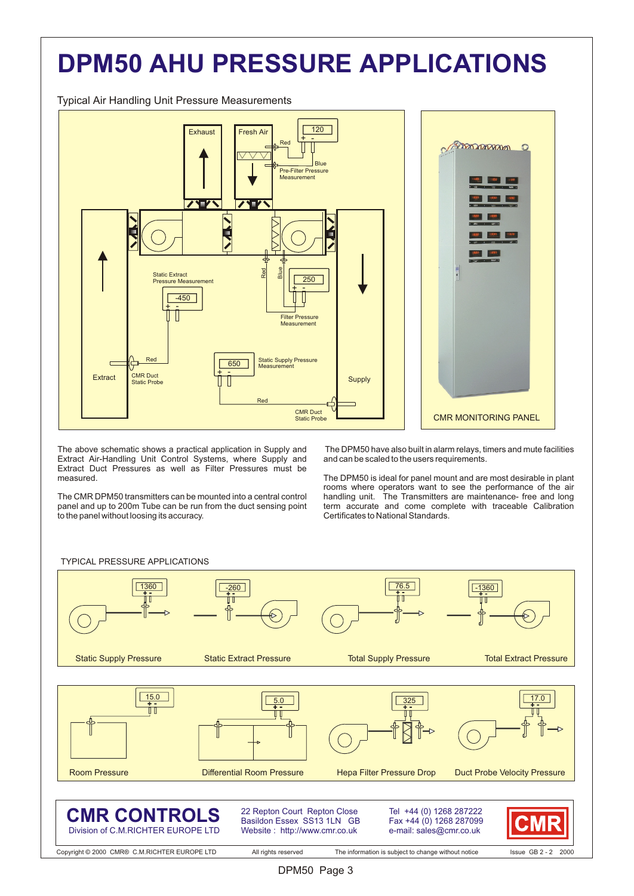# **DPM50 AHU PRESSURE APPLICATIONS**

Typical Air Handling Unit Pressure Measurements



The above schematic shows a practical application in Supply and Extract Air-Handling Unit Control Systems, where Supply and Extract Duct Pressures as well as Filter Pressures must be measured.

The CMR DPM50 transmitters can be mounted into a central control panel and up to 200m Tube can be run from the duct sensing point to the panel without loosing its accuracy.

 The DPM50 have also built in alarm relays, timers and mute facilities and can be scaled to the users requirements.

The DPM50 is ideal for panel mount and are most desirable in plant rooms where operators want to see the performance of the air handling unit. The Transmitters are maintenance- free and long handling unit. The Transmitters are maintenance- free and long term accurate and come complete with traceable Calibration Certificates to National Standards.

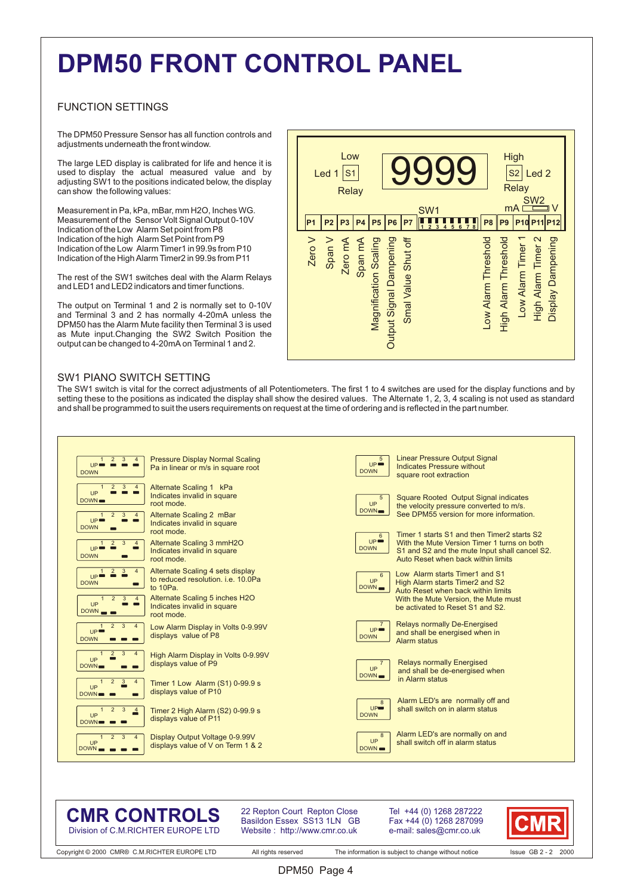## **DPM50 FRONT CONTROL PANEL**

## FUNCTION SETTINGS

The DPM50 Pressure Sensor has all function controls and adjustments underneath the front window.

The large LED display is calibrated for life and hence it is used to display the actual measured value and by adjusting SW1 to the positions indicated below, the display can show the following values:

Measurement in Pa, kPa, mBar, mm H2O, Inches WG. Measurement of the Sensor Volt Signal Output 0-10V Indication of the Low Alarm Set point from P8 Indication of the high Alarm Set Point from P9 Indication of the Low Alarm Timer1 in 99.9s from P10 Indication of the High Alarm Timer2 in 99.9s from P11

The rest of the SW1 switches deal with the Alarm Relays and LED1 and LED2 indicators and timer functions.

The output on Terminal 1 and 2 is normally set to 0-10V and Terminal 3 and 2 has normally 4-20mA unless the DPM50 has the Alarm Mute facility then Terminal 3 is used as Mute input.Changing the SW2 Switch Position the output can be changed to 4-20mA on Terminal 1 and 2.



## SW1 PIANO SWITCH SETTING

The SW1 switch is vital for the correct adjustments of all Potentiometers. The first 1 to 4 switches are used for the display functions and by setting these to the positions as indicated the display shall show the desired values. The Alternate 1, 2, 3, 4 scaling is not used as standard and shall be programmed to suit the users requirements on request at the time of ordering and is reflected in the part number.



## **CMR CONTROLS** Division of C.M.RICHTER EUROPE LTD

22 Repton Court Repton Close Basildon Essex SS13 1LN GB Website : http://www.cmr.co.uk

Tel +44 (0) 1268 287222 Fax +44 (0) 1268 287099 e-mail: sales@cmr.co.uk

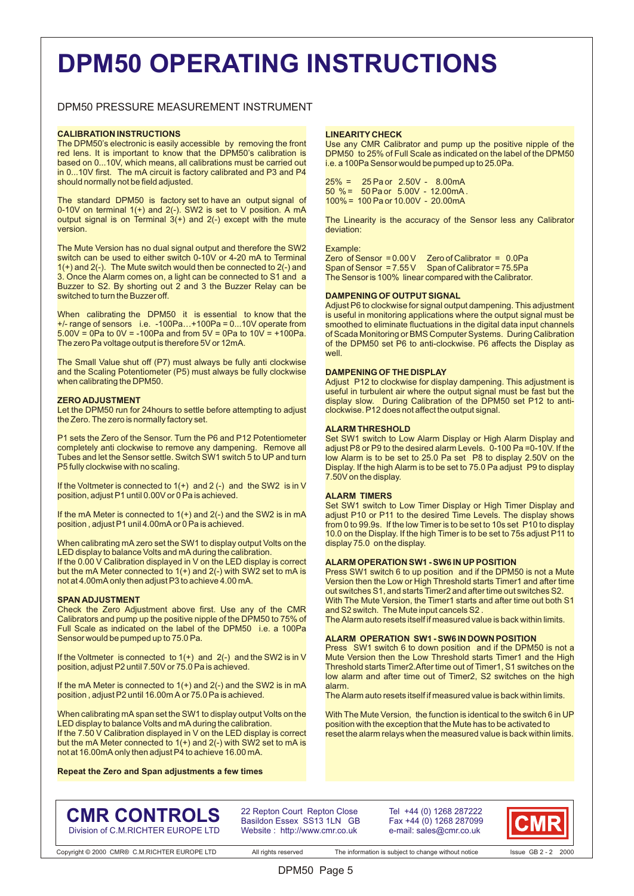## **DPM50 OPERATING INSTRUCTIONS**

## DPM50 PRESSURE MEASUREMENT INSTRUMENT

### **CALIBRATION INSTRUCTIONS**

The DPM50's electronic is easily accessible by removing the front red lens. It is important to know that the DPM50's calibration is based on 0...10V, which means, all calibrations must be carried out in 0...10V first. The mA circuit is factory calibrated and P3 and P4 should normally not be field adjusted.

The standard DPM50 is factory set to have an output signal of 0-10V on terminal 1(+) and 2(-). SW2 is set to V position. A mA output signal is on Terminal 3(+) and 2(-) except with the mute version.

The Mute Version has no dual signal output and therefore the SW2 switch can be used to either switch 0-10V or 4-20 mA to Terminal  $1(+)$  and  $2(-)$ . The Mute switch would then be connected to  $2(-)$  and 3. Once the Alarm comes on, a light can be connected to S1 and a Buzzer to S2. By shorting out 2 and 3 the Buzzer Relay can be switched to turn the Buzzer off.

When calibrating the DPM50 it is essential to know that the +/- range of sensors i.e. -100Pa…+100Pa = 0...10V operate from  $5.00V = 0$ Pa to  $0V = -100$ Pa and from  $5V = 0$ Pa to  $10V = +100$ Pa. The zero Pa voltage output is therefore 5V or 12mA.

The Small Value shut off (P7) must always be fully anti clockwise and the Scaling Potentiometer (P5) must always be fully clockwise when calibrating the DPM50.

#### **ZERO ADJUSTMENT**

Let the DPM50 run for 24hours to settle before attempting to adjust the Zero. The zero is normally factory set.

P1 sets the Zero of the Sensor. Turn the P6 and P12 Potentiometer completely anti clockwise to remove any dampening. Remove all Tubes and let the Sensor settle. Switch SW1 switch 5 to UP and turn P5 fully clockwise with no scaling.

If the Voltmeter is connected to 1(+) and 2 (-) and the SW2 is in V position, adjust P1 until 0.00V or  $0$  Pa is achieved.

If the mA Meter is connected to 1(+) and 2(-) and the SW2 is in mA position , adjust P1 unil 4.00mA or 0 Pa is achieved.

When calibrating mA zero set the SW1 to display output Volts on the LED display to balance Volts and mA during the calibration.

If the 0.00 V Calibration displayed in V on the LED display is correct but the mA Meter connected to 1(+) and 2(-) with SW2 set to mA is not at 4.00mA only then adjust P3 to achieve 4.00 mA.

#### **SPAN ADJUSTMENT**

Check the Zero Adjustment above first. Use any of the CMR Calibrators and pump up the positive nipple of the DPM50 to 75% of Full Scale as indicated on the label of the DPM50 i.e. a 100Pa Sensor would be pumped up to 75.0 Pa.

If the Voltmeter is connected to  $1(+)$  and  $2(-)$  and the SW2 is in V position, adjust P2 until 7.50V or 75.0 Pa is achieved.

If the mA Meter is connected to  $1(+)$  and  $2(-)$  and the SW2 is in mA position , adjust P2 until 16.00m A or 75.0 Pa is achieved.

When calibrating mA span set the SW1 to display output Volts on the LED display to balance Volts and mA during the calibration.

If the 7.50 V Calibration displayed in V on the LED display is correct but the mA Meter connected to  $1(+)$  and  $2(-)$  with SW2 set to mA is not at 16.00mA only then adjust P4 to achieve 16.00 mA.

**Repeat the Zero and Span adjustments a few times**

### **LINEARITY CHECK**

Use any CMR Calibrator and pump up the positive nipple of the DPM50 to 25% of Full Scale as indicated on the label of the DPM50 i.e. a 100Pa Sensor would be pumped up to 25.0Pa.

25% = 25 Pa or 2.50V - 8.00mA 50 % = 50 Pa or 5.00V - 12.00mA . 100% = 100 Pa or 10.00V - 20.00mA

The Linearity is the accuracy of the Sensor less any Calibrator deviation:

#### Example:

Zero of Sensor = 0.00 V Zero of Calibrator = 0.0Pa Span of Sensor =  $7.55V$  Span of Calibrator =  $75.5Pa$ The Sensor is 100% linear compared with the Calibrator.

### **DAMPENING OF OUTPUT SIGNAL**

Adjust P6 to clockwise for signal output dampening. This adjustment is useful in monitoring applications where the output signal must be smoothed to eliminate fluctuations in the digital data input channels of Scada Monitoring or BMS Computer Systems. During Calibration of the DPM50 set P6 to anti-clockwise. P6 affects the Display as well.

#### **DAMPENING OF THE DISPLAY**

Adjust P12 to clockwise for display dampening. This adjustment is useful in turbulent air where the output signal must be fast but the display slow. During Calibration of the DPM50 set P12 to anticlockwise. P12 does not affect the output signal.

#### **ALARM THRESHOLD**

Set SW1 switch to Low Alarm Display or High Alarm Display and adjust P8 or P9 to the desired alarm Levels. 0-100 Pa = 0-10V. If the low Alarm is to be set to 25.0 Pa set P8 to display 2.50V on the Display. If the high Alarm is to be set to 75.0 Pa adjust P9 to display 7.50V on the display.

### **ALARM TIMERS**

Set SW1 switch to Low Timer Display or High Timer Display and adjust P10 or P11 to the desired Time Levels. The display shows from 0 to 99.9s. If the low Timer is to be set to 10s set P10 to display 10.0 on the Display. If the high Timer is to be set to 75s adjust P11 to display 75.0 on the display.

## **ALARM OPERATION SW1 - SW6 IN UP POSITION**

Press SW1 switch 6 to up position and if the DPM50 is not a Mute Version then the Low or High Threshold starts Timer1 and after time out switches S1, and starts Timer2 and after time out switches S2. With The Mute Version, the Timer1 starts and after time out both S1 and S2 switch. The Mute input cancels S2 .

The Alarm auto resets itself if measured value is back within limits.

#### **ALARM OPERATION SW1 - SW6 IN DOWN POSITION**

Press SW1 switch 6 to down position and if the DPM50 is not a Mute Version then the Low Threshold starts Timer1 and the High Threshold starts Timer2.After time out of Timer1, S1 switches on the low alarm and after time out of Timer2, S2 switches on the high alarm.

The Alarm auto resets itself if measured value is back within limits.

With The Mute Version, the function is identical to the switch 6 in UP position with the exception that the Mute has to be activated to reset the alarm relays when the measured value is back within limits.

## **CMR CONTROLS** Division of C.M.RICHTER EUROPE LTD

22 Repton Court Repton Close Basildon Essex SS13 1LN GB Website : http://www.cmr.co.uk

DPM50 Page 5

Tel +44 (0) 1268 287222 Fax +44 (0) 1268 287099 e-mail: sales@cmr.co.uk

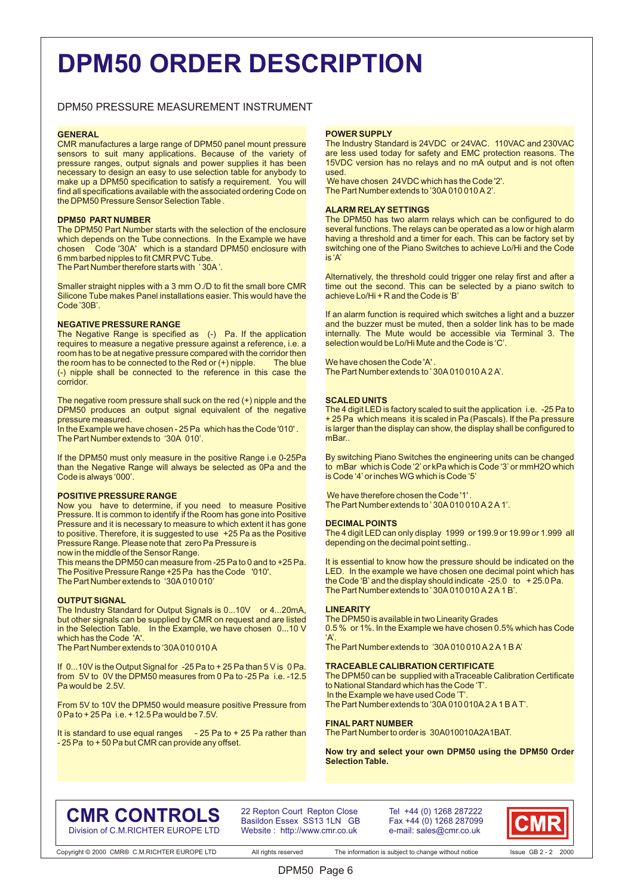## **DPM50 ORDER DESCRIPTION**

## DPM50 PRESSURE MEASUREMENT INSTRUMENT

### **GENERAL**

CMR manufactures a large range of DPM50 panel mount pressure sensors to suit many applications. Because of the variety of pressure ranges, output signals and power supplies it has been necessary to design an easy to use selection table for anybody to make up a DPM50 specification to satisfy a requirement. You will find all specifications available with the associated ordering Code on the DPM50 Pressure Sensor Selection Table .

#### **DPM50 PART NUMBER**

The DPM50 Part Number starts with the selection of the enclosure which depends on the Tube connections. In the Example we have chosen Code '30A' which is a standard DPM50 enclosure with 6 mm barbed nipples to fit CMR PVC Tube.

The Part Number therefore starts with ' 30A '.

Smaller straight nipples with a 3 mm O./D to fit the small bore CMR Silicone Tube makes Panel installations easier. This would have the Code '30B'.

### **NEGATIVE PRESSURE RANGE**

The Negative Range is specified as (-) Pa. If the application requires to measure a negative pressure against a reference, i.e. a room has to be at negative pressure compared with the corridor then<br>the room has to be connected to the Red or  $(+)$  ningle the room has to be connected to the Red or  $(+)$  nipple. (-) nipple shall be connected to the reference in this case the corridor.

The negative room pressure shall suck on the red (+) nipple and the DPM50 produces an output signal equivalent of the negative pressure measured.

In the Example we have chosen - 25 Pa which has the Code '010' . The Part Number extends to '30A 010'.

If the DPM50 must only measure in the positive Range i.e 0-25Pa than the Negative Range will always be selected as 0Pa and the Code is always '000'.

#### **POSITIVE PRESSURE RANGE**

Now you have to determine, if you need to measure Positive Pressure. It is common to identify if the Room has gone into Positive Pressure and it is necessary to measure to which extent it has gone to positive. Therefore, it is suggested to use +25 Pa as the Positive Pressure Range. Please note that zero Pa Pressure is

now in the middle of the Sensor Range.

This means the DPM50 can measure from -25 Pa to 0 and to +25 Pa. The Positive Pressure Range +25 Pa has the Code '010'. The Part Number extends to '30A 010 010'

### **OUTPUT SIGNAL**

The Industry Standard for Output Signals is 0...10V or 4...20mA, but other signals can be supplied by CMR on request and are listed in the Selection Table. In the Example, we have chosen 0...10 V which has the Code 'A'.

The Part Number extends to '30A 010 010 A

If 0...10V is the Output Signal for -25 Pa to + 25 Pa than 5 V is 0 Pa. from 5V to 0V the DPM50 measures from 0 Pa to -25 Pa i.e. -12.5 Pa would be 2.5V.

From 5V to 10V the DPM50 would measure positive Pressure from 0 Pa to + 25 Pa i.e. + 12.5 Pa would be 7.5V.

It is standard to use equal ranges  $-25$  Pa to  $+25$  Pa rather than - 25 Pa to + 50 Pa but CMR can provide any offset.

## **POWER SUPPLY**

The Industry Standard is 24VDC or 24VAC. 110VAC and 230VAC are less used today for safety and EMC protection reasons. The 15VDC version has no relays and no mA output and is not often used.

 We have chosen 24VDC which has the Code '2'. The Part Number extends to '30A 010 010 A 2'.

### **ALARM RELAY SETTINGS**

The DPM50 has two alarm relays which can be configured to do several functions. The relays can be operated as a low or high alarm having a threshold and a timer for each. This can be factory set by switching one of the Piano Switches to achieve Lo/Hi and the Code is 'A'

Alternatively, the threshold could trigger one relay first and after a time out the second. This can be selected by a piano switch to achieve Lo/Hi + R and the Code is 'B'

If an alarm function is required which switches a light and a buzzer and the buzzer must be muted, then a solder link has to be made internally. The Mute would be accessible via Terminal 3. The selection would be Lo/Hi Mute and the Code is 'C'.

We have chosen the Code 'A' The Part Number extends to ' 30A 010 010 A 2 A'.

### **SCALED UNITS**

The 4 digit LED is factory scaled to suit the application i.e. -25 Pa to + 25 Pa which means it is scaled in Pa (Pascals). If the Pa pressure is larger than the display can show, the display shall be configured to mBar..

By switching Piano Switches the engineering units can be changed to mBar which is Code '2' or kPa which is Code '3' or mmH2O which is Code '4' or inches WG which is Code '5'

We have therefore chosen the Code '1' The Part Number extends to ' 30A 010 010 A 2 A 1'.

#### **DECIMAL POINTS**

The 4 digit LED can only display 1999 or 199.9 or 19.99 or 1.999 all depending on the decimal point setting..

It is essential to know how the pressure should be indicated on the LED. In the example we have chosen one decimal point which has the Code 'B' and the display should indicate -25.0 to + 25.0 Pa. The Part Number extends to ' 30A 010 010 A 2 A 1 B'.

#### **LINEARITY**

The DPM50 is available in two Linearity Grades 0.5 % or 1%. In the Example we have chosen 0.5% which has Code 'A'.

The Part Number extends to '30A 010 010 A 2 A 1 B A'

### **TRACEABLE CALIBRATION CERTIFICATE**

The DPM50 can be supplied with aTraceable Calibration Certificate to National Standard which has the Code 'T'. In the Example we have used Code 'T

The Part Number extends to '30A 010 010A 2 A 1 B A T'.

#### **FINAL PART NUMBER**

The Part Number to order is 30A010010A2A1BAT.

**Now try and select your own DPM50 using the DPM50 Order Selection Table.**

## **CMR CONTROLS** Division of C.M.RICHTER EUROPE LTD

22 Repton Court Repton Close Basildon Essex SS13 1LN GB Website : http://www.cmr.co.uk

DPM50 Page 6

Tel +44 (0) 1268 287222 Fax +44 (0) 1268 287099 e-mail: sales@cmr.co.uk

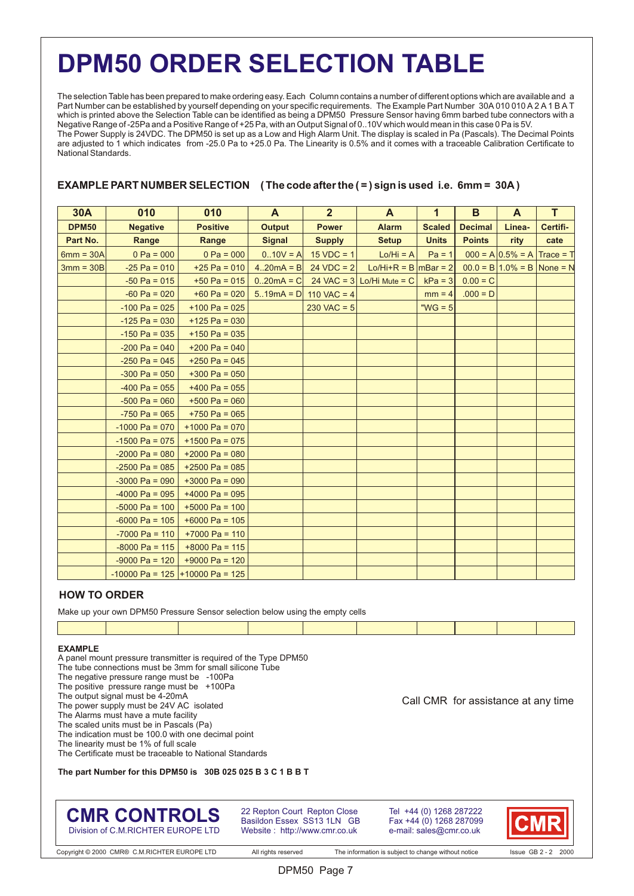## **DPM50 ORDER SELECTION TABLE**

The selection Table has been prepared to make ordering easy. Each Column contains a number of different options which are available and a Part Number can be established by yourself depending on your specific requirements. The Example Part Number 30A 010 010 A 2 A 1 B A T which is printed above the Selection Table can be identified as being a DPM50 Pressure Sensor having 6mm barbed tube connectors with a Negative Range of -25Pa and a Positive Range of +25 Pa, with an Output Signal of 0..10V which would mean in this case 0 Pa is 5V. The Power Supply is 24VDC. The DPM50 is set up as a Low and High Alarm Unit. The display is scaled in Pa (Pascals). The Decimal Points are adjusted to 1 which indicates from -25.0 Pa to +25.0 Pa. The Linearity is 0.5% and it comes with a traceable Calibration Certificate to National Standards.

## **EXAMPLE PART NUMBER SELECTION ( The code after the ( = ) sign is used i.e. 6mm = 30A )**

| <b>30A</b>   | 010              | 010                               | A             | 2 <sup>2</sup>           | A                           | $\mathbf{1}$  | B              | A                                 | T           |
|--------------|------------------|-----------------------------------|---------------|--------------------------|-----------------------------|---------------|----------------|-----------------------------------|-------------|
| <b>DPM50</b> | <b>Negative</b>  | <b>Positive</b>                   | <b>Output</b> | <b>Power</b>             | <b>Alarm</b>                | <b>Scaled</b> | <b>Decimal</b> | Linea-                            | Certifi-    |
| Part No.     | Range            | Range                             | <b>Signal</b> | <b>Supply</b>            | <b>Setup</b>                | <b>Units</b>  | <b>Points</b>  | rity                              | cate        |
| $6mm = 30A$  | $0 Pa = 000$     | $0 Pa = 000$                      | $0.10V = A$   | $15 VDC = 1$             | $Lo/Hi = A$                 | $Pa = 1$      |                | $000 = A \cdot 0.5\% = A$         | $Trace = T$ |
| $3mm = 30B$  | $-25$ Pa = 010   | $+25$ Pa = 010                    | $4.20mA = B$  | $24 VDC = 2$             | Lo/Hi+R = B $ mBar = 2 $    |               |                | $00.0 = B   1.0\% = B  $ None = N |             |
|              | $-50$ Pa = 015   | $+50$ Pa = 015                    | $0.20mA = C$  |                          | 24 VAC = $3$ Lo/Hi Mute = C | $kPa = 3$     | $0.00 = C$     |                                   |             |
|              | $-60$ Pa = 020   | $+60$ Pa = 020                    |               | $5.19mA = D$ 110 VAC = 4 |                             | $mm = 4$      | $.000 = D$     |                                   |             |
|              | $-100$ Pa = 025  | $+100$ Pa = 025                   |               | $230$ VAC = 5            |                             | " $WG = 5$    |                |                                   |             |
|              | $-125$ Pa = 030  | $+125$ Pa = 030                   |               |                          |                             |               |                |                                   |             |
|              | $-150$ Pa = 035  | $+150$ Pa = 035                   |               |                          |                             |               |                |                                   |             |
|              | $-200$ Pa = 040  | $+200$ Pa = 040                   |               |                          |                             |               |                |                                   |             |
|              | $-250$ Pa = 045  | $+250$ Pa = 045                   |               |                          |                             |               |                |                                   |             |
|              | $-300$ Pa = 050  | $+300$ Pa = 050                   |               |                          |                             |               |                |                                   |             |
|              | $-400$ Pa = 055  | $+400$ Pa = 055                   |               |                          |                             |               |                |                                   |             |
|              | $-500$ Pa = 060  | $+500$ Pa = 060                   |               |                          |                             |               |                |                                   |             |
|              | $-750$ Pa = 065  | $+750$ Pa = 065                   |               |                          |                             |               |                |                                   |             |
|              | $-1000$ Pa = 070 | $+1000$ Pa = 070                  |               |                          |                             |               |                |                                   |             |
|              | $-1500$ Pa = 075 | $+1500$ Pa = 075                  |               |                          |                             |               |                |                                   |             |
|              | $-2000$ Pa = 080 | $+2000$ Pa = 080                  |               |                          |                             |               |                |                                   |             |
|              | $-2500$ Pa = 085 | $+2500$ Pa = 085                  |               |                          |                             |               |                |                                   |             |
|              | $-3000$ Pa = 090 | $+3000$ Pa = 090                  |               |                          |                             |               |                |                                   |             |
|              | $-4000$ Pa = 095 | $+4000$ Pa = 095                  |               |                          |                             |               |                |                                   |             |
|              | $-5000$ Pa = 100 | $+5000$ Pa = 100                  |               |                          |                             |               |                |                                   |             |
|              | $-6000$ Pa = 105 | $+6000$ Pa = 105                  |               |                          |                             |               |                |                                   |             |
|              | $-7000$ Pa = 110 | $+7000$ Pa = 110                  |               |                          |                             |               |                |                                   |             |
|              | $-8000$ Pa = 115 | $+8000$ Pa = 115                  |               |                          |                             |               |                |                                   |             |
|              | $-9000$ Pa = 120 | $+9000$ Pa = 120                  |               |                          |                             |               |                |                                   |             |
|              |                  | $-10000$ Pa = 125 +10000 Pa = 125 |               |                          |                             |               |                |                                   |             |

## **HOW TO ORDER**

Make up your own DPM50 Pressure Sensor selection below using the empty cells

## **EXAMPLE**

- A panel mount pressure transmitter is required of the Type DPM50
- The tube connections must be 3mm for small silicone Tube
- The negative pressure range must be -100Pa
- The positive pressure range must be +100Pa
- The output signal must be 4-20mA
- The power supply must be 24V AC isolated
- The Alarms must have a mute facility
- The scaled units must be in Pascals (Pa) The indication must be 100.0 with one decimal point
- The linearity must be 1% of full scale
- The Certificate must be traceable to National Standards

## **The part Number for this DPM50 is 30B 025 025 B 3 C 1 B B T**

## **CMR CONTROLS** Division of C.M.RICHTER EUROPE LTD

22 Repton Court Repton Close Basildon Essex SS13 1LN GB Website : http://www.cmr.co.uk

Tel +44 (0) 1268 287222 Fax +44 (0) 1268 287099 e-mail: sales@cmr.co.uk



Call CMR for assistance at any time